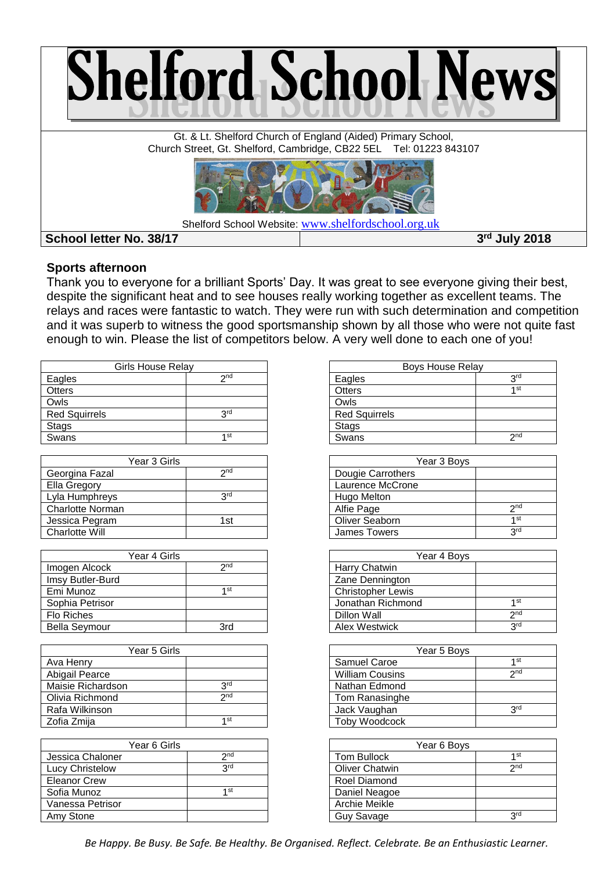

#### **Sports afternoon**

Thank you to everyone for a brilliant Sports' Day. It was great to see everyone giving their best, despite the significant heat and to see houses really working together as excellent teams. The relays and races were fantastic to watch. They were run with such determination and competition and it was superb to witness the good sportsmanship shown by all those who were not quite fast enough to win. Please the list of competitors below. A very well done to each one of you!

| <b>Girls House Relay</b> |            |  |
|--------------------------|------------|--|
| Eagles                   | $2n$ d     |  |
| <b>Otters</b>            |            |  |
| Owls                     |            |  |
| <b>Red Squirrels</b>     | <b>PLC</b> |  |
| <b>Stags</b>             |            |  |
| Swans                    | 1st        |  |

| Year 3 Girls            |                 |  |
|-------------------------|-----------------|--|
| Georgina Fazal          | 2 <sub>nd</sub> |  |
| Ella Gregory            |                 |  |
| Lyla Humphreys          | <b>PLC</b>      |  |
| <b>Charlotte Norman</b> |                 |  |
| Jessica Pegram          | 1st             |  |
| <b>Charlotte Will</b>   |                 |  |

| Year 4 Girls         |                 |  |
|----------------------|-----------------|--|
| Imogen Alcock        | 2 <sub>nd</sub> |  |
| Imsy Butler-Burd     |                 |  |
| Emi Munoz            | 1st             |  |
| Sophia Petrisor      |                 |  |
| Flo Riches           |                 |  |
| <b>Bella Seymour</b> | <b>Rrd</b>      |  |

| Year 5 Girls      |                 |
|-------------------|-----------------|
| Ava Henry         |                 |
| Abigail Pearce    |                 |
| Maisie Richardson | <b>PLC</b>      |
| Olivia Richmond   | 2 <sub>nd</sub> |
| Rafa Wilkinson    |                 |
| Zofia Zmija       | 1 st            |

| Year 6 Girls        |                 |
|---------------------|-----------------|
| Jessica Chaloner    | 2 <sub>nd</sub> |
| Lucy Christelow     | <b>PLC</b>      |
| <b>Eleanor Crew</b> |                 |
| Sofia Munoz         | 1st             |
| Vanessa Petrisor    |                 |
| Amy Stone           |                 |

| Boys House Relay     |                 |  |
|----------------------|-----------------|--|
| Eagles               | <b>Qrd</b>      |  |
| <b>Otters</b>        | 1 st            |  |
| Owls                 |                 |  |
| <b>Red Squirrels</b> |                 |  |
| <b>Stags</b>         |                 |  |
| Swans                | 2 <sub>nd</sub> |  |

| Year 3 Boys         |                 |  |
|---------------------|-----------------|--|
| Dougie Carrothers   |                 |  |
| Laurence McCrone    |                 |  |
| Hugo Melton         |                 |  |
| Alfie Page          | 2 <sub>nd</sub> |  |
| Oliver Seaborn      | 1 <sub>st</sub> |  |
| <b>James Towers</b> | <b>Qrd</b>      |  |
|                     |                 |  |

| Year 4 Boys              |                 |  |
|--------------------------|-----------------|--|
| Harry Chatwin            |                 |  |
| Zane Dennington          |                 |  |
| <b>Christopher Lewis</b> |                 |  |
| Jonathan Richmond        | 1st             |  |
| Dillon Wall              | 2 <sub>nd</sub> |  |
| Alex Westwick            | <b>Rud</b>      |  |

| Year 5 Boys            |                 |
|------------------------|-----------------|
| Samuel Caroe           | 1st             |
| <b>William Cousins</b> | 2 <sub>nd</sub> |
| Nathan Edmond          |                 |
| Tom Ranasinghe         |                 |
| Jack Vaughan           | 3 <sup>rd</sup> |
| Toby Woodcock          |                 |

| Year 6 Boys           |                 |  |
|-----------------------|-----------------|--|
| Tom Bullock           | 1st             |  |
| <b>Oliver Chatwin</b> | 2 <sub>nd</sub> |  |
| Roel Diamond          |                 |  |
| Daniel Neagoe         |                 |  |
| Archie Meikle         |                 |  |
| Guy Savage            | لري             |  |

*Be Happy. Be Busy. Be Safe. Be Healthy. Be Organised. Reflect. Celebrate. Be an Enthusiastic Learner.*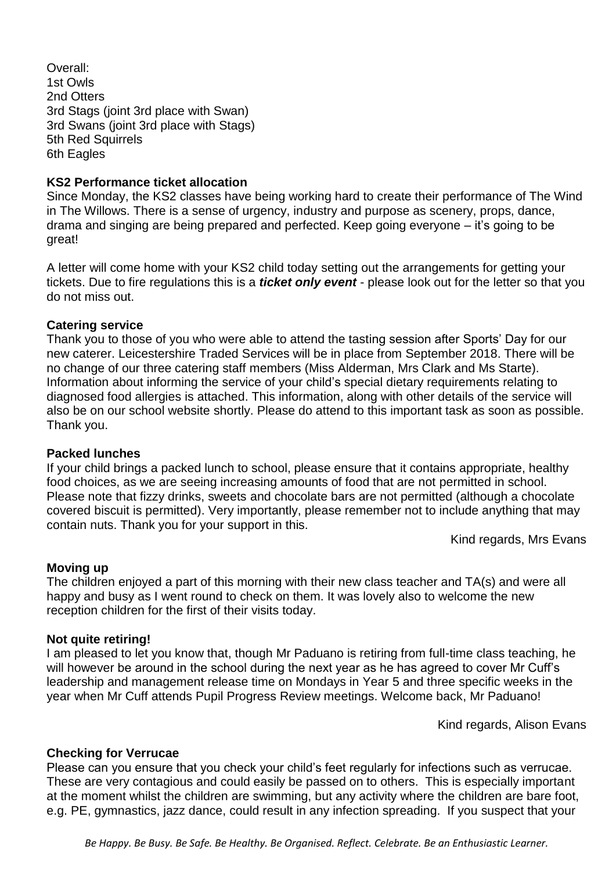Overall: 1st Owls 2nd Otters 3rd Stags (joint 3rd place with Swan) 3rd Swans (joint 3rd place with Stags) 5th Red Squirrels 6th Eagles

## **KS2 Performance ticket allocation**

Since Monday, the KS2 classes have being working hard to create their performance of The Wind in The Willows. There is a sense of urgency, industry and purpose as scenery, props, dance, drama and singing are being prepared and perfected. Keep going everyone – it's going to be great!

A letter will come home with your KS2 child today setting out the arrangements for getting your tickets. Due to fire regulations this is a *ticket only event* - please look out for the letter so that you do not miss out.

### **Catering service**

Thank you to those of you who were able to attend the tasting session after Sports' Day for our new caterer. Leicestershire Traded Services will be in place from September 2018. There will be no change of our three catering staff members (Miss Alderman, Mrs Clark and Ms Starte). Information about informing the service of your child's special dietary requirements relating to diagnosed food allergies is attached. This information, along with other details of the service will also be on our school website shortly. Please do attend to this important task as soon as possible. Thank you.

#### **Packed lunches**

If your child brings a packed lunch to school, please ensure that it contains appropriate, healthy food choices, as we are seeing increasing amounts of food that are not permitted in school. Please note that fizzy drinks, sweets and chocolate bars are not permitted (although a chocolate covered biscuit is permitted). Very importantly, please remember not to include anything that may contain nuts. Thank you for your support in this.

Kind regards, Mrs Evans

#### **Moving up**

The children enjoyed a part of this morning with their new class teacher and TA(s) and were all happy and busy as I went round to check on them. It was lovely also to welcome the new reception children for the first of their visits today.

#### **Not quite retiring!**

I am pleased to let you know that, though Mr Paduano is retiring from full-time class teaching, he will however be around in the school during the next year as he has agreed to cover Mr Cuff's leadership and management release time on Mondays in Year 5 and three specific weeks in the year when Mr Cuff attends Pupil Progress Review meetings. Welcome back, Mr Paduano!

Kind regards, Alison Evans

#### **Checking for Verrucae**

Please can you ensure that you check your child's feet regularly for infections such as verrucae. These are very contagious and could easily be passed on to others. This is especially important at the moment whilst the children are swimming, but any activity where the children are bare foot, e.g. PE, gymnastics, jazz dance, could result in any infection spreading. If you suspect that your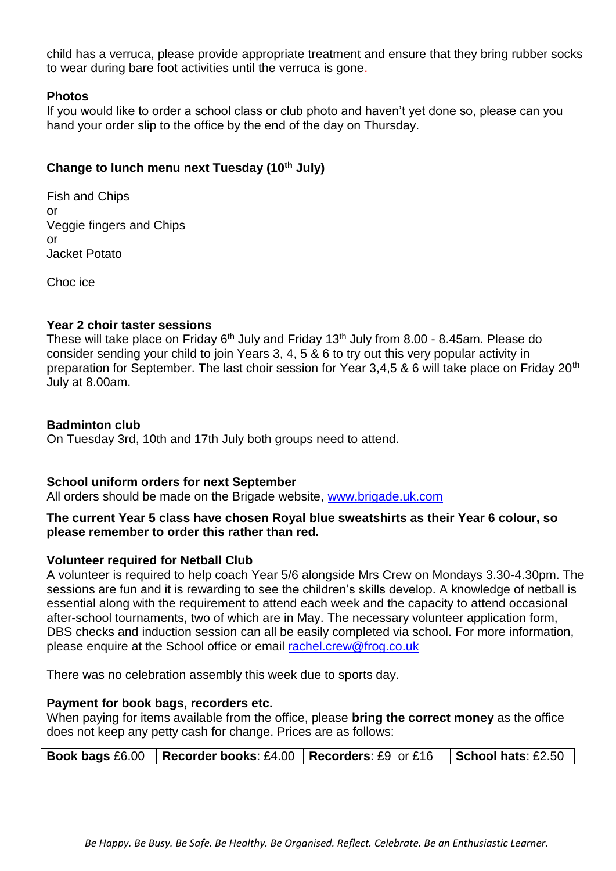child has a verruca, please provide appropriate treatment and ensure that they bring rubber socks to wear during bare foot activities until the verruca is gone.

### **Photos**

If you would like to order a school class or club photo and haven't yet done so, please can you hand your order slip to the office by the end of the day on Thursday.

# **Change to lunch menu next Tuesday (10th July)**

Fish and Chips or Veggie fingers and Chips or Jacket Potato

Choc ice

# **Year 2 choir taster sessions**

These will take place on Friday  $6<sup>th</sup>$  July and Friday 13<sup>th</sup> July from 8.00 - 8.45am. Please do consider sending your child to join Years 3, 4, 5 & 6 to try out this very popular activity in preparation for September. The last choir session for Year 3,4,5 & 6 will take place on Friday 20<sup>th</sup> July at 8.00am.

### **Badminton club**

On Tuesday 3rd, 10th and 17th July both groups need to attend.

# **School uniform orders for next September**

All orders should be made on the Brigade website, [www.brigade.uk.com](http://www.brigade.uk.com/)

# **The current Year 5 class have chosen Royal blue sweatshirts as their Year 6 colour, so please remember to order this rather than red.**

# **Volunteer required for Netball Club**

A volunteer is required to help coach Year 5/6 alongside Mrs Crew on Mondays 3.30-4.30pm. The sessions are fun and it is rewarding to see the children's skills develop. A knowledge of netball is essential along with the requirement to attend each week and the capacity to attend occasional after-school tournaments, two of which are in May. The necessary volunteer application form, DBS checks and induction session can all be easily completed via school. For more information, please enquire at the School office or email [rachel.crew@frog.co.uk](mailto:rachel.crew@frog.co.uk)

There was no celebration assembly this week due to sports day.

#### **Payment for book bags, recorders etc.**

When paying for items available from the office, please **bring the correct money** as the office does not keep any petty cash for change. Prices are as follows:

| <b>Book bags</b> £6.00   Recorder books: £4.00   Recorders: £9 or £16   School hats: £2.50 |  |
|--------------------------------------------------------------------------------------------|--|
|                                                                                            |  |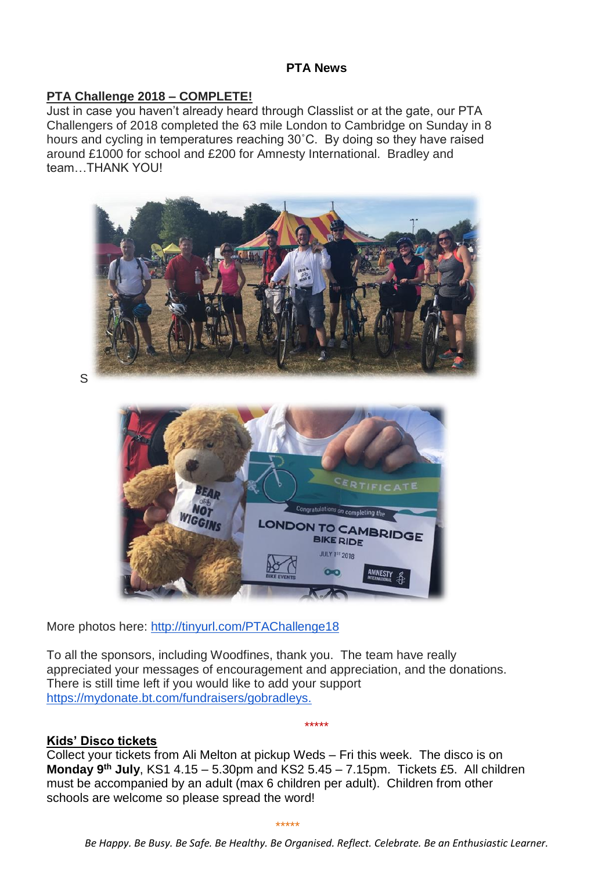# **PTA News**

# **PTA Challenge 2018 – COMPLETE!**

Just in case you haven't already heard through Classlist or at the gate, our PTA Challengers of 2018 completed the 63 mile London to Cambridge on Sunday in 8 hours and cycling in temperatures reaching 30˚C. By doing so they have raised around £1000 for school and £200 for Amnesty International. Bradley and team…THANK YOU!



S



More photos here: [http://tinyurl.com/PTAChallenge18](https://open.classlist.com/wf/click?upn=tUjCqsdGxCGv6cWMmFy6Iz87IdxmbvP1JGlrrk7w14wTIslTx-2Bnc6Kcwmf5vkQdl_3TSG9-2B7RYtuaSwyIygdgSBkG2DMAYZOXTBfUeOphaeMwEM4AtW1F8jUd5pK-2BIlqHqqO5DHMNWLqd5D-2FOg6JAem0jqJ8bTVEpia4K8ONavfvdzXcXkQR3xCUqJggRW7gmHRLZWC3fXBp8U5LRuJG97AZV4BtKsMdlRZlLX9xXr0k9LonkzqA7f7ao5K-2BZF383fGxPlSLu-2BMqyGN0eCVXU9P58gCYnHMm8GV8mG02JETsQk9T2Q0koCPkTARR60-2BIGbStWjUy3HTbjIlyPsW-2B9DrFPqFxjZNEDImgcNeN0p06r6vbHq8OFIplWj8d3kLVWhgLzrh-2FrP8i9dRrT7SP2Fg-3D-3D)

To all the sponsors, including Woodfines, thank you. The team have really appreciated your messages of encouragement and appreciation, and the donations. There is still time left if you would like to add your support [https://mydonate.bt.com/fundraisers/gobradleys.](https://mydonate.bt.com/fundraisers/gobradleys)

# **Kids' Disco tickets**

Collect your tickets from Ali Melton at pickup Weds – Fri this week. The disco is on **Monday 9th July**, KS1 4.15 – 5.30pm and KS2 5.45 – 7.15pm. Tickets £5. All children must be accompanied by an adult (max 6 children per adult). Children from other schools are welcome so please spread the word!

\*\*\*\*\*

\*\*\*\*\*